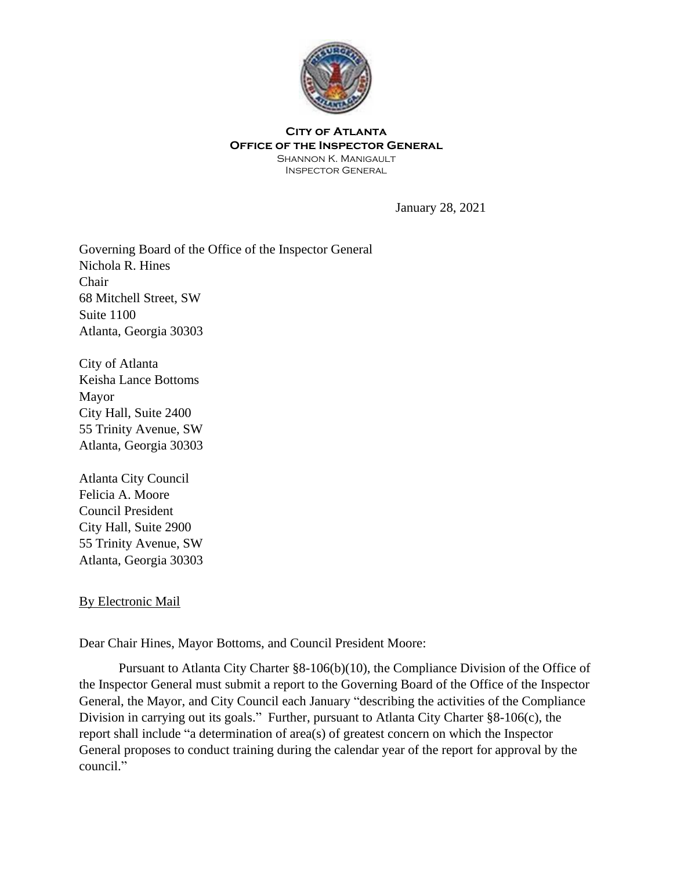

## **City of Atlanta Office of the Inspector General**

Shannon K. Manigault Inspector General

January 28, 2021

Governing Board of the Office of the Inspector General Nichola R. Hines Chair 68 Mitchell Street, SW Suite 1100 Atlanta, Georgia 30303

City of Atlanta Keisha Lance Bottoms Mayor City Hall, Suite 2400 55 Trinity Avenue, SW Atlanta, Georgia 30303

Atlanta City Council Felicia A. Moore Council President City Hall, Suite 2900 55 Trinity Avenue, SW Atlanta, Georgia 30303

## By Electronic Mail

Dear Chair Hines, Mayor Bottoms, and Council President Moore:

Pursuant to Atlanta City Charter §8-106(b)(10), the Compliance Division of the Office of the Inspector General must submit a report to the Governing Board of the Office of the Inspector General, the Mayor, and City Council each January "describing the activities of the Compliance Division in carrying out its goals." Further, pursuant to Atlanta City Charter §8-106(c), the report shall include "a determination of area(s) of greatest concern on which the Inspector General proposes to conduct training during the calendar year of the report for approval by the council."